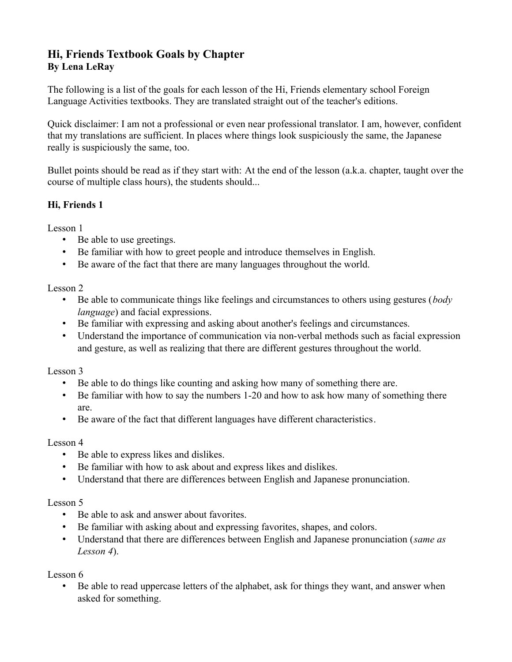# **Hi, Friends Textbook Goals by Chapter By Lena LeRay**

The following is a list of the goals for each lesson of the Hi, Friends elementary school Foreign Language Activities textbooks. They are translated straight out of the teacher's editions.

Quick disclaimer: I am not a professional or even near professional translator. I am, however, confident that my translations are sufficient. In places where things look suspiciously the same, the Japanese really is suspiciously the same, too.

Bullet points should be read as if they start with: At the end of the lesson (a.k.a. chapter, taught over the course of multiple class hours), the students should...

### **Hi, Friends 1**

Lesson 1

- Be able to use greetings.
- Be familiar with how to greet people and introduce themselves in English.
- Be aware of the fact that there are many languages throughout the world.

Lesson 2

- Be able to communicate things like feelings and circumstances to others using gestures (*body language*) and facial expressions.
- Be familiar with expressing and asking about another's feelings and circumstances.
- Understand the importance of communication via non-verbal methods such as facial expression and gesture, as well as realizing that there are different gestures throughout the world.

Lesson 3

- Be able to do things like counting and asking how many of something there are.
- Be familiar with how to say the numbers 1-20 and how to ask how many of something there are.
- Be aware of the fact that different languages have different characteristics.

### Lesson 4

- Be able to express likes and dislikes.
- Be familiar with how to ask about and express likes and dislikes.
- Understand that there are differences between English and Japanese pronunciation.

### Lesson 5

- Be able to ask and answer about favorites.
- Be familiar with asking about and expressing favorites, shapes, and colors.
- Understand that there are differences between English and Japanese pronunciation (*same as Lesson 4*).

Lesson 6

• Be able to read uppercase letters of the alphabet, ask for things they want, and answer when asked for something.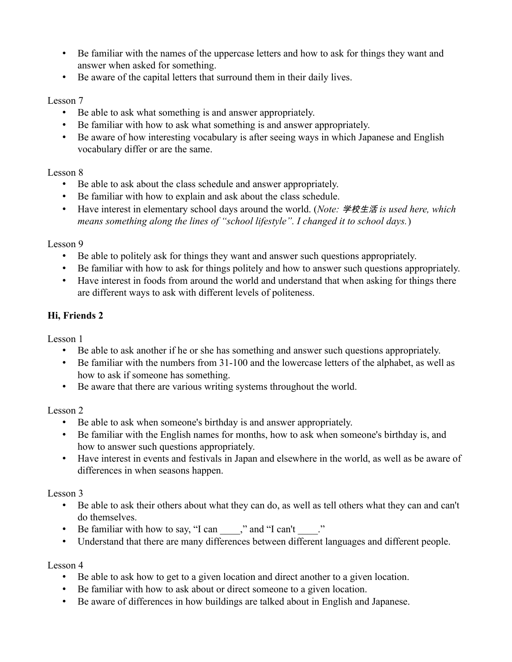- Be familiar with the names of the uppercase letters and how to ask for things they want and answer when asked for something.
- Be aware of the capital letters that surround them in their daily lives.

#### Lesson 7

- Be able to ask what something is and answer appropriately.
- Be familiar with how to ask what something is and answer appropriately.
- Be aware of how interesting vocabulary is after seeing ways in which Japanese and English vocabulary differ or are the same.

### Lesson 8

- Be able to ask about the class schedule and answer appropriately.
- Be familiar with how to explain and ask about the class schedule.
- Have interest in elementary school days around the world. (*Note:* 学校生活 *is used here, which means something along the lines of "school lifestyle". I changed it to school days.*)

### Lesson 9

- Be able to politely ask for things they want and answer such questions appropriately.
- Be familiar with how to ask for things politely and how to answer such questions appropriately.
- Have interest in foods from around the world and understand that when asking for things there are different ways to ask with different levels of politeness.

## **Hi, Friends 2**

Lesson 1

- Be able to ask another if he or she has something and answer such questions appropriately.
- Be familiar with the numbers from 31-100 and the lowercase letters of the alphabet, as well as how to ask if someone has something.
- Be aware that there are various writing systems throughout the world.

## Lesson 2

- Be able to ask when someone's birthday is and answer appropriately.
- Be familiar with the English names for months, how to ask when someone's birthday is, and how to answer such questions appropriately.
- Have interest in events and festivals in Japan and elsewhere in the world, as well as be aware of differences in when seasons happen.

## Lesson 3

- Be able to ask their others about what they can do, as well as tell others what they can and can't do themselves.
- Be familiar with how to say, "I can  $\ddot{\hspace{1cm}}$ ," and "I can't  $\ddot{\hspace{1cm}}$ ."
- Understand that there are many differences between different languages and different people.

### Lesson 4

- Be able to ask how to get to a given location and direct another to a given location.
- Be familiar with how to ask about or direct someone to a given location.
- Be aware of differences in how buildings are talked about in English and Japanese.